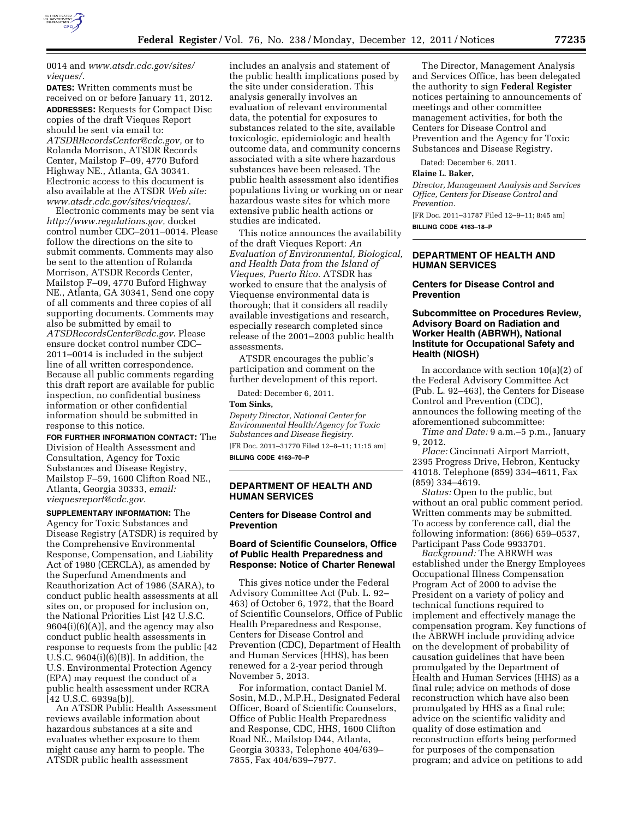

# 0014 and *www.atsdr.cdc.gov/sites/ vieques/*.

**DATES:** Written comments must be received on or before January 11, 2012. **ADDRESSES:** Requests for Compact Disc copies of the draft Vieques Report should be sent via email to: *ATSDRRecordsCenter@cdc.gov,* or to Rolanda Morrison, ATSDR Records Center, Mailstop F–09, 4770 Buford Highway NE., Atlanta, GA 30341. Electronic access to this document is also available at the ATSDR *Web site: www.atsdr.cdc.gov/sites/vieques/*.

Electronic comments may be sent via *http://www.regulations.gov,* docket control number CDC–2011–0014. Please follow the directions on the site to submit comments. Comments may also be sent to the attention of Rolanda Morrison, ATSDR Records Center, Mailstop F–09, 4770 Buford Highway NE., Atlanta, GA 30341, Send one copy of all comments and three copies of all supporting documents. Comments may also be submitted by email to *ATSDRecordsCenter@cdc.gov*. Please ensure docket control number CDC– 2011–0014 is included in the subject line of all written correspondence. Because all public comments regarding this draft report are available for public inspection, no confidential business information or other confidential information should be submitted in response to this notice.

**FOR FURTHER INFORMATION CONTACT:** The Division of Health Assessment and Consultation, Agency for Toxic Substances and Disease Registry, Mailstop F–59, 1600 Clifton Road NE., Atlanta, Georgia 30333, *email: viequesreport@cdc.gov*.

**SUPPLEMENTARY INFORMATION:** The Agency for Toxic Substances and Disease Registry (ATSDR) is required by the Comprehensive Environmental Response, Compensation, and Liability Act of 1980 (CERCLA), as amended by the Superfund Amendments and Reauthorization Act of 1986 (SARA), to conduct public health assessments at all sites on, or proposed for inclusion on, the National Priorities List [42 U.S.C.  $9604(i)(6)(A)$ , and the agency may also conduct public health assessments in response to requests from the public [42 U.S.C.  $9604(i)(6)(B)$ ]. In addition, the U.S. Environmental Protection Agency (EPA) may request the conduct of a public health assessment under RCRA [42 U.S.C. 6939a(b)].

An ATSDR Public Health Assessment reviews available information about hazardous substances at a site and evaluates whether exposure to them might cause any harm to people. The ATSDR public health assessment

includes an analysis and statement of the public health implications posed by the site under consideration. This analysis generally involves an evaluation of relevant environmental data, the potential for exposures to substances related to the site, available toxicologic, epidemiologic and health outcome data, and community concerns associated with a site where hazardous substances have been released. The public health assessment also identifies populations living or working on or near hazardous waste sites for which more extensive public health actions or studies are indicated.

This notice announces the availability of the draft Vieques Report: *An Evaluation of Environmental, Biological, and Health Data from the Island of Vieques, Puerto Rico.* ATSDR has worked to ensure that the analysis of Viequense environmental data is thorough; that it considers all readily available investigations and research, especially research completed since release of the 2001–2003 public health assessments.

ATSDR encourages the public's participation and comment on the further development of this report.

Dated: December 6, 2011.

#### **Tom Sinks,**

*Deputy Director, National Center for Environmental Health/Agency for Toxic Substances and Disease Registry.*  [FR Doc. 2011–31770 Filed 12–8–11; 11:15 am] **BILLING CODE 4163–70–P** 

### **DEPARTMENT OF HEALTH AND HUMAN SERVICES**

# **Centers for Disease Control and Prevention**

# **Board of Scientific Counselors, Office of Public Health Preparedness and Response: Notice of Charter Renewal**

This gives notice under the Federal Advisory Committee Act (Pub. L. 92– 463) of October 6, 1972, that the Board of Scientific Counselors, Office of Public Health Preparedness and Response, Centers for Disease Control and Prevention (CDC), Department of Health and Human Services (HHS), has been renewed for a 2-year period through November 5, 2013.

For information, contact Daniel M. Sosin, M.D., M.P.H., Designated Federal Officer, Board of Scientific Counselors, Office of Public Health Preparedness and Response, CDC, HHS, 1600 Clifton Road NE., Mailstop D44, Atlanta, Georgia 30333, Telephone 404/639– 7855, Fax 404/639–7977.

The Director, Management Analysis and Services Office, has been delegated the authority to sign **Federal Register**  notices pertaining to announcements of meetings and other committee management activities, for both the Centers for Disease Control and Prevention and the Agency for Toxic Substances and Disease Registry.

Dated: December 6, 2011.

#### **Elaine L. Baker,**

*Director, Management Analysis and Services Office, Centers for Disease Control and Prevention.* 

[FR Doc. 2011–31787 Filed 12–9–11; 8:45 am] **BILLING CODE 4163–18–P** 

# **DEPARTMENT OF HEALTH AND HUMAN SERVICES**

### **Centers for Disease Control and Prevention**

# **Subcommittee on Procedures Review, Advisory Board on Radiation and Worker Health (ABRWH), National Institute for Occupational Safety and Health (NIOSH)**

In accordance with section 10(a)(2) of the Federal Advisory Committee Act (Pub. L. 92–463), the Centers for Disease Control and Prevention (CDC), announces the following meeting of the aforementioned subcommittee:

*Time and Date:* 9 a.m.–5 p.m., January 9, 2012.

*Place:* Cincinnati Airport Marriott, 2395 Progress Drive, Hebron, Kentucky 41018. Telephone (859) 334–4611, Fax (859) 334–4619.

*Status:* Open to the public, but without an oral public comment period. Written comments may be submitted. To access by conference call, dial the following information: (866) 659–0537, Participant Pass Code 9933701.

*Background:* The ABRWH was established under the Energy Employees Occupational Illness Compensation Program Act of 2000 to advise the President on a variety of policy and technical functions required to implement and effectively manage the compensation program. Key functions of the ABRWH include providing advice on the development of probability of causation guidelines that have been promulgated by the Department of Health and Human Services (HHS) as a final rule; advice on methods of dose reconstruction which have also been promulgated by HHS as a final rule; advice on the scientific validity and quality of dose estimation and reconstruction efforts being performed for purposes of the compensation program; and advice on petitions to add